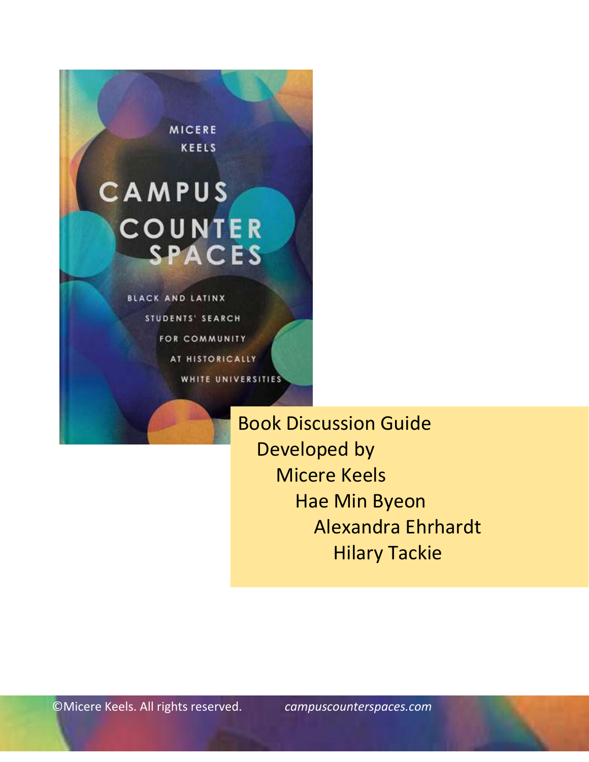

STUDENTS' SEARCH FOR COMMUNITY AT HISTORICALLY WHITE UNIVERSITIES

> Book Discussion Guide Developed by Micere Keels Hae Min Byeon Alexandra Ehrhardt Hilary Tackie

©Micere Keels. All rights reserved. *[campuscounterspaces.com](http://www.campuscounterspaces.com/)*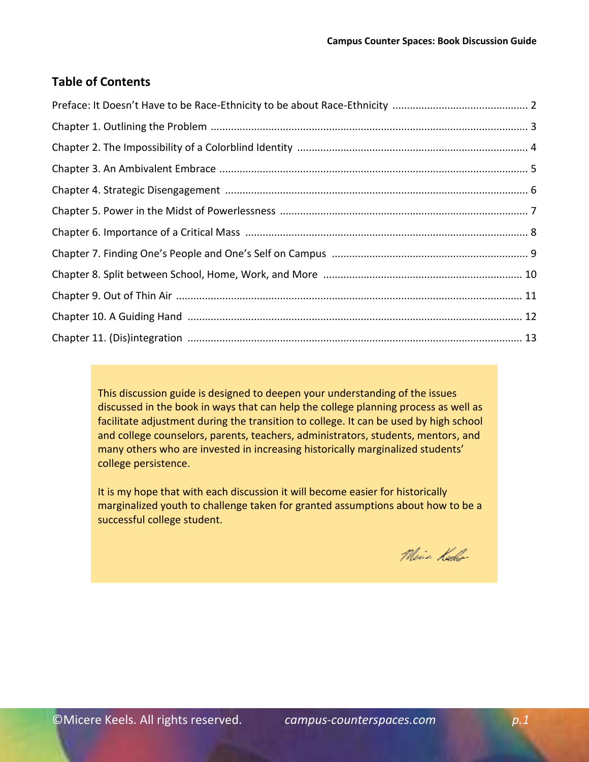## **Table of Contents**

This discussion guide is designed to deepen your understanding of the issues discussed in the book in ways that can help the college planning process as well as facilitate adjustment during the transition to college. It can be used by high school and college counselors, parents, teachers, administrators, students, mentors, and many others who are invested in increasing historically marginalized students' college persistence.

It is my hope that with each discussion it will become easier for historically marginalized youth to challenge taken for granted assumptions about how to be a successful college student.

Min Kello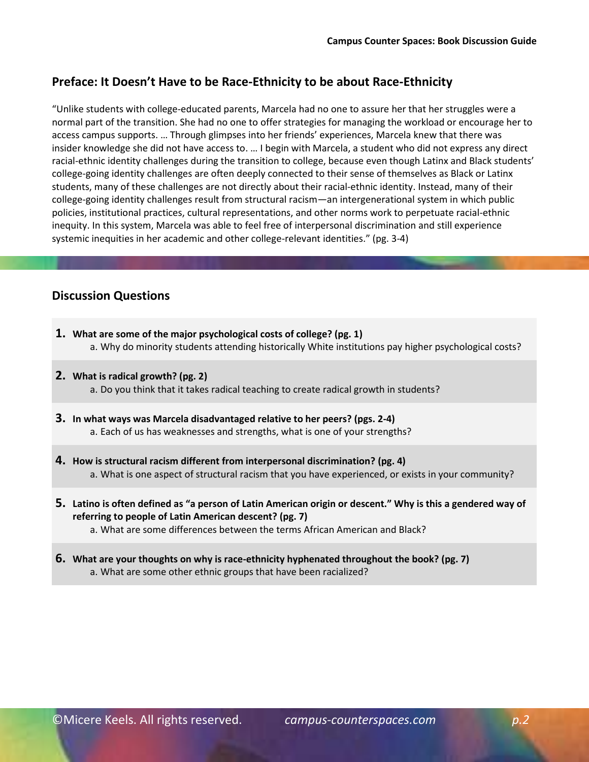# **Preface: It Doesn't Have to be Race-Ethnicity to be about Race-Ethnicity**

"Unlike students with college-educated parents, Marcela had no one to assure her that her struggles were a normal part of the transition. She had no one to offer strategies for managing the workload or encourage her to access campus supports. … Through glimpses into her friends' experiences, Marcela knew that there was insider knowledge she did not have access to. … I begin with Marcela, a student who did not express any direct racial-ethnic identity challenges during the transition to college, because even though Latinx and Black students' college-going identity challenges are often deeply connected to their sense of themselves as Black or Latinx students, many of these challenges are not directly about their racial-ethnic identity. Instead, many of their college-going identity challenges result from structural racism—an intergenerational system in which public policies, institutional practices, cultural representations, and other norms work to perpetuate racial-ethnic inequity. In this system, Marcela was able to feel free of interpersonal discrimination and still experience systemic inequities in her academic and other college-relevant identities." (pg. 3-4)

- **1. What are some of the major psychological costs of college? (pg. 1)** a. Why do minority students attending historically White institutions pay higher psychological costs?
- **2. What is radical growth? (pg. 2)** a. Do you think that it takes radical teaching to create radical growth in students?
- **3. In what ways was Marcela disadvantaged relative to her peers? (pgs. 2-4)** a. Each of us has weaknesses and strengths, what is one of your strengths?
- **4. How is structural racism different from interpersonal discrimination? (pg. 4)** a. What is one aspect of structural racism that you have experienced, or exists in your community?
- **5. Latino is often defined as "a person of Latin American origin or descent." Why is this a gendered way of referring to people of Latin American descent? (pg. 7)**
	- a. What are some differences between the terms African American and Black?
- **6. What are your thoughts on why is race-ethnicity hyphenated throughout the book? (pg. 7)** a. What are some other ethnic groups that have been racialized?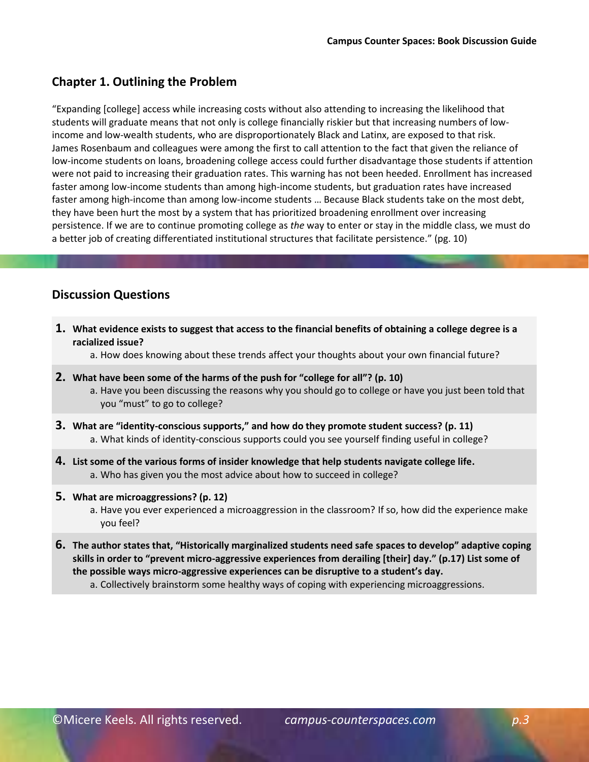## **Chapter 1. Outlining the Problem**

"Expanding [college] access while increasing costs without also attending to increasing the likelihood that students will graduate means that not only is college financially riskier but that increasing numbers of lowincome and low-wealth students, who are disproportionately Black and Latinx, are exposed to that risk. James Rosenbaum and colleagues were among the first to call attention to the fact that given the reliance of low-income students on loans, broadening college access could further disadvantage those students if attention were not paid to increasing their graduation rates. This warning has not been heeded. Enrollment has increased faster among low-income students than among high-income students, but graduation rates have increased faster among high-income than among low-income students … Because Black students take on the most debt, they have been hurt the most by a system that has prioritized broadening enrollment over increasing persistence. If we are to continue promoting college as *the* way to enter or stay in the middle class, we must do a better job of creating differentiated institutional structures that facilitate persistence." (pg. 10)

## **Discussion Questions**

**1. What evidence exists to suggest that access to the financial benefits of obtaining a college degree is a racialized issue?**

a. How does knowing about these trends affect your thoughts about your own financial future?

- **2. What have been some of the harms of the push for "college for all"? (p. 10)**
	- a. Have you been discussing the reasons why you should go to college or have you just been told that you "must" to go to college?
- **3. What are "identity-conscious supports," and how do they promote student success? (p. 11)** a. What kinds of identity-conscious supports could you see yourself finding useful in college?
- **4. List some of the various forms of insider knowledge that help students navigate college life.** a. Who has given you the most advice about how to succeed in college?
- **5. What are microaggressions? (p. 12)**
	- a. Have you ever experienced a microaggression in the classroom? If so, how did the experience make you feel?
- **6. The author states that, "Historically marginalized students need safe spaces to develop" adaptive coping skills in order to "prevent micro-aggressive experiences from derailing [their] day." (p.17) List some of the possible ways micro-aggressive experiences can be disruptive to a student's day.**

a. Collectively brainstorm some healthy ways of coping with experiencing microaggressions.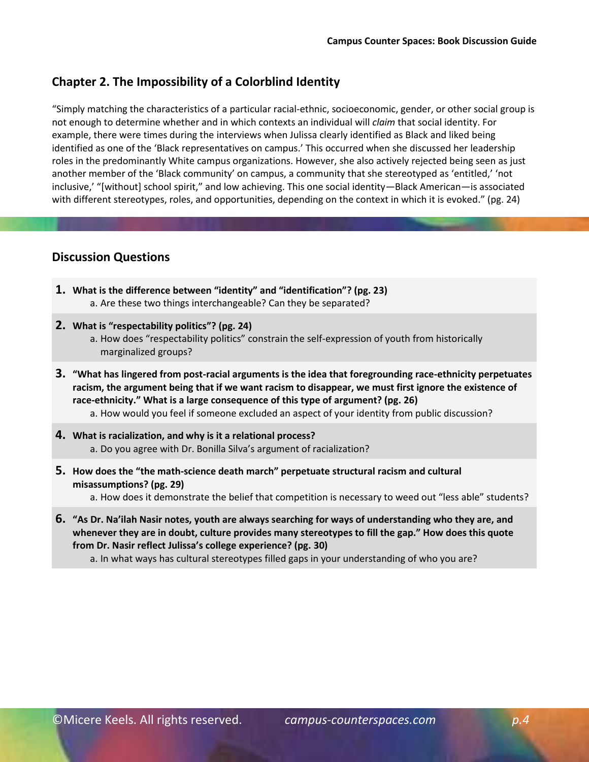### **Chapter 2. The Impossibility of a Colorblind Identity**

"Simply matching the characteristics of a particular racial-ethnic, socioeconomic, gender, or other social group is not enough to determine whether and in which contexts an individual will *claim* that social identity. For example, there were times during the interviews when Julissa clearly identified as Black and liked being identified as one of the 'Black representatives on campus.' This occurred when she discussed her leadership roles in the predominantly White campus organizations. However, she also actively rejected being seen as just another member of the 'Black community' on campus, a community that she stereotyped as 'entitled,' 'not inclusive,' "[without] school spirit," and low achieving. This one social identity—Black American—is associated with different stereotypes, roles, and opportunities, depending on the context in which it is evoked." (pg. 24)

### **Discussion Questions**

- **1. What is the difference between "identity" and "identification"? (pg. 23)** a. Are these two things interchangeable? Can they be separated?
- **2. What is "respectability politics"? (pg. 24)**
	- a. How does "respectability politics" constrain the self-expression of youth from historically marginalized groups?
- **3. "What has lingered from post-racial arguments is the idea that foregrounding race-ethnicity perpetuates racism, the argument being that if we want racism to disappear, we must first ignore the existence of race-ethnicity." What is a large consequence of this type of argument? (pg. 26)** a. How would you feel if someone excluded an aspect of your identity from public discussion?
- **4. What is racialization, and why is it a relational process?**  a. Do you agree with Dr. Bonilla Silva's argument of racialization?
- **5. How does the "the math-science death march" perpetuate structural racism and cultural misassumptions? (pg. 29)**

a. How does it demonstrate the belief that competition is necessary to weed out "less able" students?

**6. "As Dr. Na'ilah Nasir notes, youth are always searching for ways of understanding who they are, and whenever they are in doubt, culture provides many stereotypes to fill the gap." How does this quote from Dr. Nasir reflect Julissa's college experience? (pg. 30)**

a. In what ways has cultural stereotypes filled gaps in your understanding of who you are?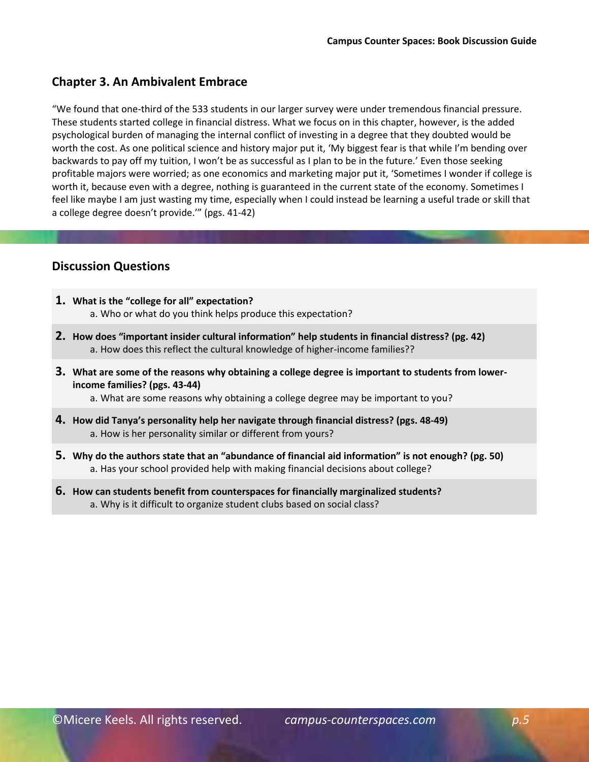### **Chapter 3. An Ambivalent Embrace**

"We found that one-third of the 533 students in our larger survey were under tremendous financial pressure. These students started college in financial distress. What we focus on in this chapter, however, is the added psychological burden of managing the internal conflict of investing in a degree that they doubted would be worth the cost. As one political science and history major put it, 'My biggest fear is that while I'm bending over backwards to pay off my tuition, I won't be as successful as I plan to be in the future.' Even those seeking profitable majors were worried; as one economics and marketing major put it, 'Sometimes I wonder if college is worth it, because even with a degree, nothing is guaranteed in the current state of the economy. Sometimes I feel like maybe I am just wasting my time, especially when I could instead be learning a useful trade or skill that a college degree doesn't provide.'" (pgs. 41-42)

## **Discussion Questions**

- **1. What is the "college for all" expectation?**  a. Who or what do you think helps produce this expectation?
- **2. How does "important insider cultural information" help students in financial distress? (pg. 42)**  a. How does this reflect the cultural knowledge of higher-income families??
- **3. What are some of the reasons why obtaining a college degree is important to students from lowerincome families? (pgs. 43-44)**

a. What are some reasons why obtaining a college degree may be important to you?

- **4. How did Tanya's personality help her navigate through financial distress? (pgs. 48-49)**  a. How is her personality similar or different from yours?
- **5. Why do the authors state that an "abundance of financial aid information" is not enough? (pg. 50)**  a. Has your school provided help with making financial decisions about college?
- **6. How can students benefit from counterspaces for financially marginalized students?**  a. Why is it difficult to organize student clubs based on social class?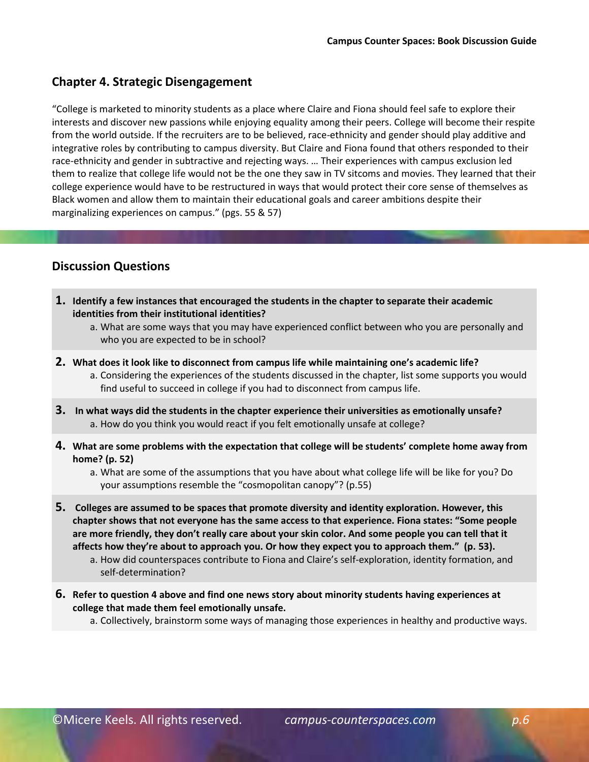### **Chapter 4. Strategic Disengagement**

"College is marketed to minority students as a place where Claire and Fiona should feel safe to explore their interests and discover new passions while enjoying equality among their peers. College will become their respite from the world outside. If the recruiters are to be believed, race-ethnicity and gender should play additive and integrative roles by contributing to campus diversity. But Claire and Fiona found that others responded to their race-ethnicity and gender in subtractive and rejecting ways. … Their experiences with campus exclusion led them to realize that college life would not be the one they saw in TV sitcoms and movies. They learned that their college experience would have to be restructured in ways that would protect their core sense of themselves as Black women and allow them to maintain their educational goals and career ambitions despite their marginalizing experiences on campus." (pgs. 55 & 57)

## **Discussion Questions**

- **1. Identify a few instances that encouraged the students in the chapter to separate their academic identities from their institutional identities?**
	- a. What are some ways that you may have experienced conflict between who you are personally and who you are expected to be in school?
- **2. What does it look like to disconnect from campus life while maintaining one's academic life?**  a. Considering the experiences of the students discussed in the chapter, list some supports you would find useful to succeed in college if you had to disconnect from campus life.
- **3. In what ways did the students in the chapter experience their universities as emotionally unsafe?** a. How do you think you would react if you felt emotionally unsafe at college?
- **4. What are some problems with the expectation that college will be students' complete home away from home? (p. 52)**

a. What are some of the assumptions that you have about what college life will be like for you? Do your assumptions resemble the "cosmopolitan canopy"? (p.55)

**5. Colleges are assumed to be spaces that promote diversity and identity exploration. However, this chapter shows that not everyone has the same access to that experience. Fiona states: "Some people are more friendly, they don't really care about your skin color. And some people you can tell that it**  affects how they're about to approach you. Or how they expect you to approach them." (p. 53).

a. How did counterspaces contribute to Fiona and Claire's self-exploration, identity formation, and self-determination?

**6. Refer to question 4 above and find one news story about minority students having experiences at college that made them feel emotionally unsafe.** 

a. Collectively, brainstorm some ways of managing those experiences in healthy and productive ways.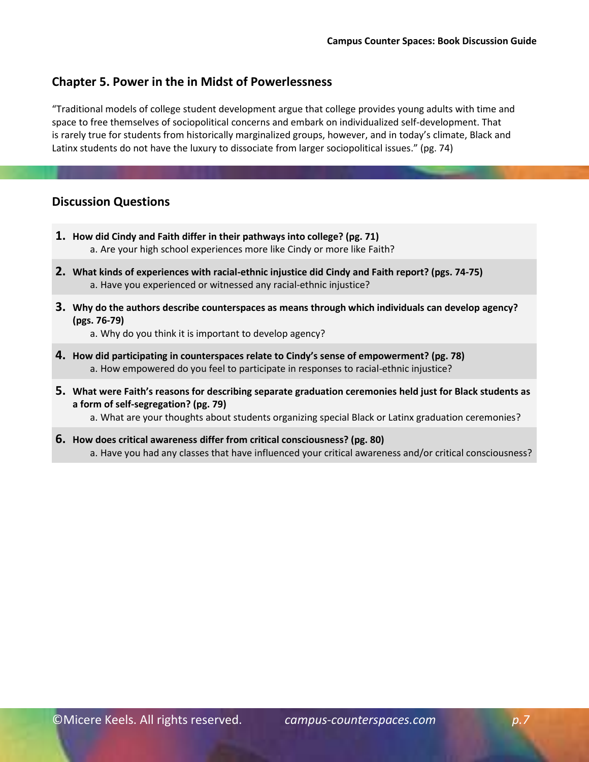#### **Chapter 5. Power in the in Midst of Powerlessness**

"Traditional models of college student development argue that college provides young adults with time and space to free themselves of sociopolitical concerns and embark on individualized self-development. That is rarely true for students from historically marginalized groups, however, and in today's climate, Black and Latinx students do not have the luxury to dissociate from larger sociopolitical issues." (pg. 74)

#### **Discussion Questions**

- **1. How did Cindy and Faith differ in their pathways into college? (pg. 71)**  a. Are your high school experiences more like Cindy or more like Faith?
- **2. What kinds of experiences with racial-ethnic injustice did Cindy and Faith report? (pgs. 74-75)**  a. Have you experienced or witnessed any racial-ethnic injustice?
- **3. Why do the authors describe counterspaces as means through which individuals can develop agency? (pgs. 76-79)**

a. Why do you think it is important to develop agency?

- **4. How did participating in counterspaces relate to Cindy's sense of empowerment? (pg. 78)**  a. How empowered do you feel to participate in responses to racial-ethnic injustice?
- **5. What were Faith's reasons for describing separate graduation ceremonies held just for Black students as a form of self-segregation? (pg. 79)**

a. What are your thoughts about students organizing special Black or Latinx graduation ceremonies?

**6. How does critical awareness differ from critical consciousness? (pg. 80)**  a. Have you had any classes that have influenced your critical awareness and/or critical consciousness?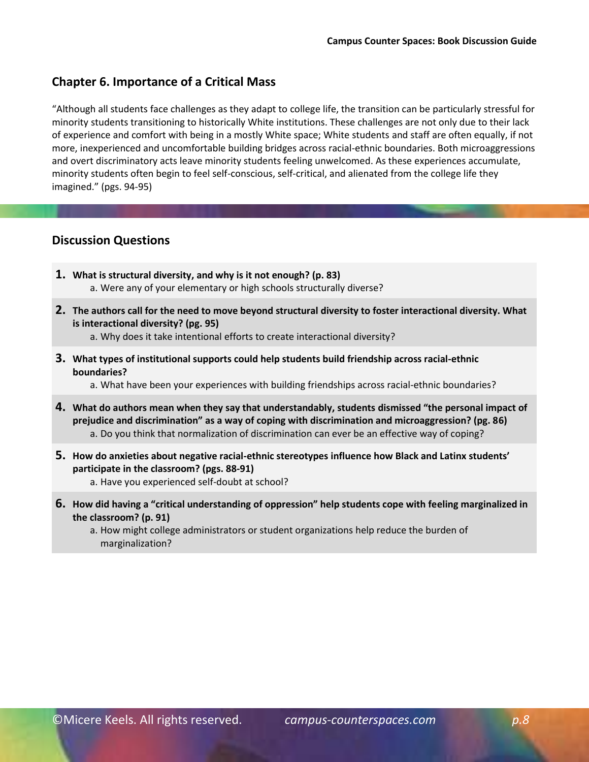### **Chapter 6. Importance of a Critical Mass**

"Although all students face challenges as they adapt to college life, the transition can be particularly stressful for minority students transitioning to historically White institutions. These challenges are not only due to their lack of experience and comfort with being in a mostly White space; White students and staff are often equally, if not more, inexperienced and uncomfortable building bridges across racial-ethnic boundaries. Both microaggressions and overt discriminatory acts leave minority students feeling unwelcomed. As these experiences accumulate, minority students often begin to feel self-conscious, self-critical, and alienated from the college life they imagined." (pgs. 94-95)

- **1. What is structural diversity, and why is it not enough? (p. 83)**  a. Were any of your elementary or high schools structurally diverse?
- **2. The authors call for the need to move beyond structural diversity to foster interactional diversity. What is interactional diversity? (pg. 95)** 
	- a. Why does it take intentional efforts to create interactional diversity?
- **3. What types of institutional supports could help students build friendship across racial-ethnic boundaries?** 
	- a. What have been your experiences with building friendships across racial-ethnic boundaries?
- **4. What do authors mean when they say that understandably, students dismissed "the personal impact of prejudice and discrimination" as a way of coping with discrimination and microaggression? (pg. 86)**  a. Do you think that normalization of discrimination can ever be an effective way of coping?
- **5. How do anxieties about negative racial-ethnic stereotypes influence how Black and Latinx students' participate in the classroom? (pgs. 88-91)** 
	- a. Have you experienced self-doubt at school?
- **6. How did having a "critical understanding of oppression" help students cope with feeling marginalized in the classroom? (p. 91)** 
	- a. How might college administrators or student organizations help reduce the burden of marginalization?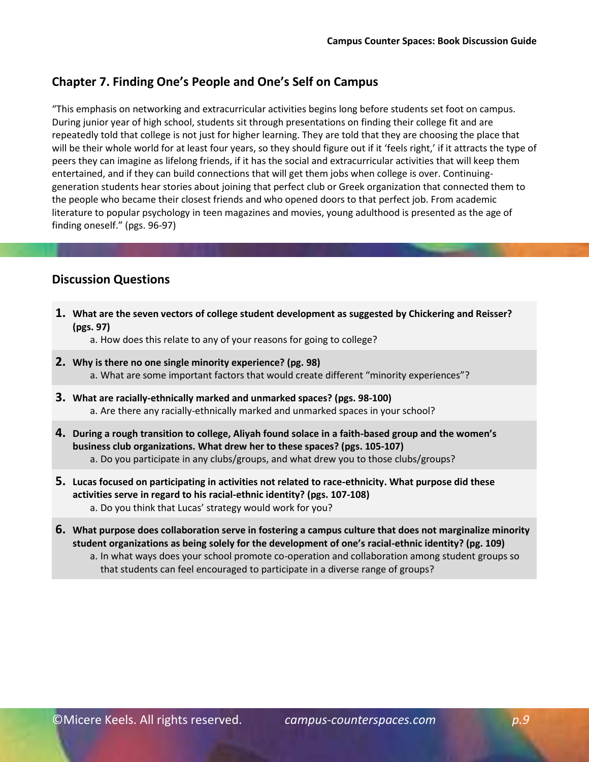# **Chapter 7. Finding One's People and One's Self on Campus**

"This emphasis on networking and extracurricular activities begins long before students set foot on campus. During junior year of high school, students sit through presentations on finding their college fit and are repeatedly told that college is not just for higher learning. They are told that they are choosing the place that will be their whole world for at least four years, so they should figure out if it 'feels right,' if it attracts the type of peers they can imagine as lifelong friends, if it has the social and extracurricular activities that will keep them entertained, and if they can build connections that will get them jobs when college is over. Continuinggeneration students hear stories about joining that perfect club or Greek organization that connected them to the people who became their closest friends and who opened doors to that perfect job. From academic literature to popular psychology in teen magazines and movies, young adulthood is presented as the age of finding oneself." (pgs. 96-97)

- **1. What are the seven vectors of college student development as suggested by Chickering and Reisser? (pgs. 97)** 
	- a. How does this relate to any of your reasons for going to college?
- **2. Why is there no one single minority experience? (pg. 98)**  a. What are some important factors that would create different "minority experiences"?
- **3. What are racially-ethnically marked and unmarked spaces? (pgs. 98-100)**  a. Are there any racially-ethnically marked and unmarked spaces in your school?
- **4. During a rough transition to college, Aliyah found solace in a faith-based group and the women's business club organizations. What drew her to these spaces? (pgs. 105-107)**  a. Do you participate in any clubs/groups, and what drew you to those clubs/groups?
- **5. Lucas focused on participating in activities not related to race-ethnicity. What purpose did these activities serve in regard to his racial-ethnic identity? (pgs. 107-108)** a. Do you think that Lucas' strategy would work for you?
- **6. What purpose does collaboration serve in fostering a campus culture that does not marginalize minority student organizations as being solely for the development of one's racial-ethnic identity? (pg. 109)** 
	- a. In what ways does your school promote co-operation and collaboration among student groups so that students can feel encouraged to participate in a diverse range of groups?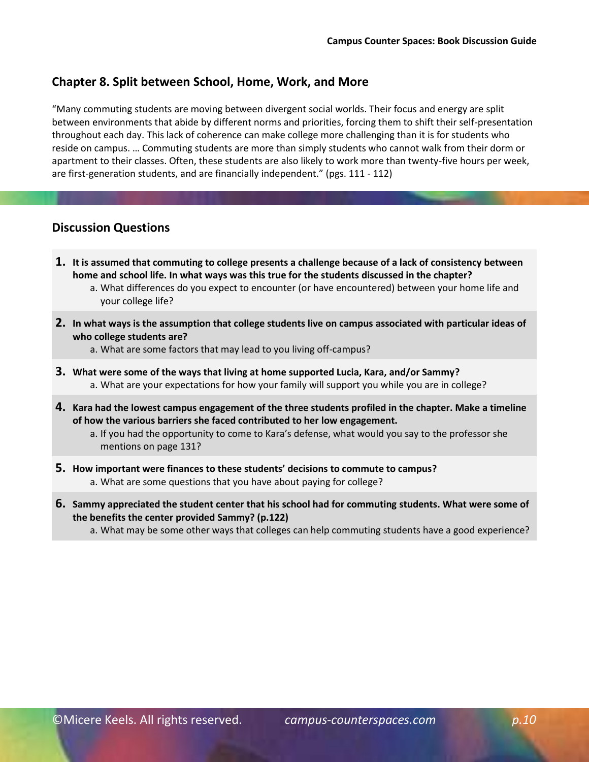#### **Chapter 8. Split between School, Home, Work, and More**

"Many commuting students are moving between divergent social worlds. Their focus and energy are split between environments that abide by different norms and priorities, forcing them to shift their self-presentation throughout each day. This lack of coherence can make college more challenging than it is for students who reside on campus. … Commuting students are more than simply students who cannot walk from their dorm or apartment to their classes. Often, these students are also likely to work more than twenty-five hours per week, are first-generation students, and are financially independent." (pgs. 111 - 112)

#### **Discussion Questions**

- **1. It is assumed that commuting to college presents a challenge because of a lack of consistency between home and school life. In what ways was this true for the students discussed in the chapter?**
	- a. What differences do you expect to encounter (or have encountered) between your home life and your college life?
- **2. In what ways is the assumption that college students live on campus associated with particular ideas of who college students are?** 
	- a. What are some factors that may lead to you living off-campus?
- **3. What were some of the ways that living at home supported Lucia, Kara, and/or Sammy?** a. What are your expectations for how your family will support you while you are in college?
- **4. Kara had the lowest campus engagement of the three students profiled in the chapter. Make a timeline of how the various barriers she faced contributed to her low engagement.**

a. If you had the opportunity to come to Kara's defense, what would you say to the professor she mentions on page 131?

- **5. How important were finances to these students' decisions to commute to campus?** a. What are some questions that you have about paying for college?
- **6. Sammy appreciated the student center that his school had for commuting students. What were some of the benefits the center provided Sammy? (p.122)**
	- a. What may be some other ways that colleges can help commuting students have a good experience?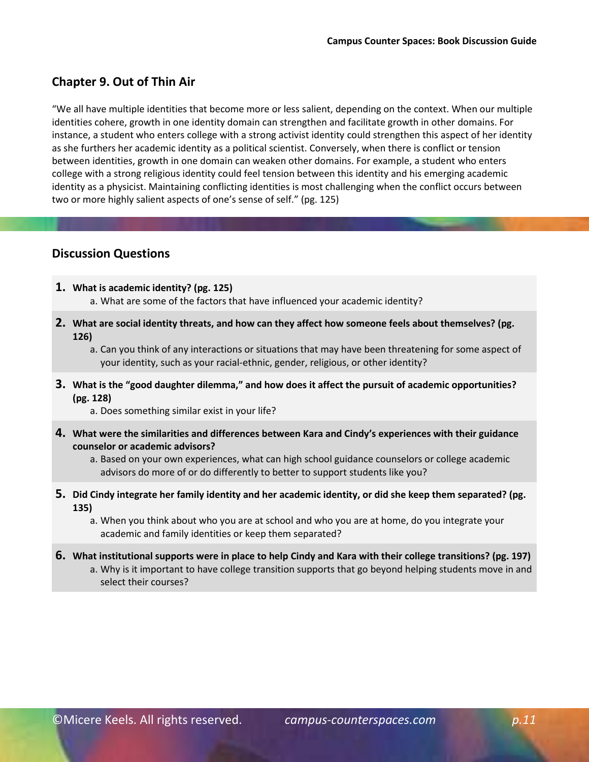## **Chapter 9. Out of Thin Air**

"We all have multiple identities that become more or less salient, depending on the context. When our multiple identities cohere, growth in one identity domain can strengthen and facilitate growth in other domains. For instance, a student who enters college with a strong activist identity could strengthen this aspect of her identity as she furthers her academic identity as a political scientist. Conversely, when there is conflict or tension between identities, growth in one domain can weaken other domains. For example, a student who enters college with a strong religious identity could feel tension between this identity and his emerging academic identity as a physicist. Maintaining conflicting identities is most challenging when the conflict occurs between two or more highly salient aspects of one's sense of self." (pg. 125)

- **1. What is academic identity? (pg. 125)** a. What are some of the factors that have influenced your academic identity?
- **2. What are social identity threats, and how can they affect how someone feels about themselves? (pg. 126)**
	- a. Can you think of any interactions or situations that may have been threatening for some aspect of your identity, such as your racial-ethnic, gender, religious, or other identity?
- **3. What is the "good daughter dilemma," and how does it affect the pursuit of academic opportunities? (pg. 128)**
	- a. Does something similar exist in your life?
- **4. What were the similarities and differences between Kara and Cindy's experiences with their guidance counselor or academic advisors?** 
	- a. Based on your own experiences, what can high school guidance counselors or college academic advisors do more of or do differently to better to support students like you?
- **5. Did Cindy integrate her family identity and her academic identity, or did she keep them separated? (pg. 135)**
	- a. When you think about who you are at school and who you are at home, do you integrate your academic and family identities or keep them separated?
- **6. What institutional supports were in place to help Cindy and Kara with their college transitions? (pg. 197)** a. Why is it important to have college transition supports that go beyond helping students move in and select their courses?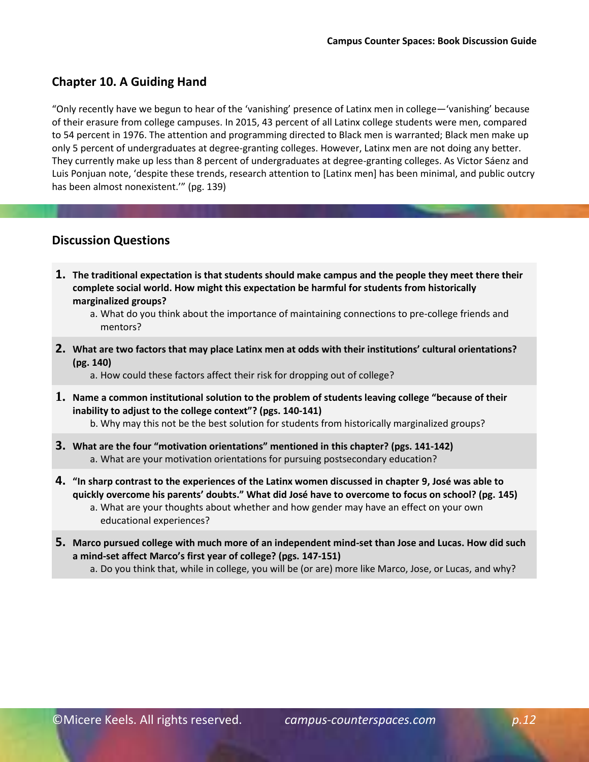## **Chapter 10. A Guiding Hand**

"Only recently have we begun to hear of the 'vanishing' presence of Latinx men in college—'vanishing' because of their erasure from college campuses. In 2015, 43 percent of all Latinx college students were men, compared to 54 percent in 1976. The attention and programming directed to Black men is warranted; Black men make up only 5 percent of undergraduates at degree-granting colleges. However, Latinx men are not doing any better. They currently make up less than 8 percent of undergraduates at degree-granting colleges. As Victor Sáenz and Luis Ponjuan note, 'despite these trends, research attention to [Latinx men] has been minimal, and public outcry has been almost nonexistent.'" (pg. 139)

## **Discussion Questions**

**1. The traditional expectation is that students should make campus and the people they meet there their complete social world. How might this expectation be harmful for students from historically marginalized groups?** 

**2. What are two factors that may place Latinx men at odds with their institutions' cultural orientations? (pg. 140)** 

a. How could these factors affect their risk for dropping out of college?

- **1. Name a common institutional solution to the problem of students leaving college "because of their inability to adjust to the college context"? (pgs. 140-141)** 
	- b. Why may this not be the best solution for students from historically marginalized groups?
- **3. What are the four "motivation orientations" mentioned in this chapter? (pgs. 141-142)**  a. What are your motivation orientations for pursuing postsecondary education?
- **4. "In sharp contrast to the experiences of the Latinx women discussed in chapter 9, José was able to quickly overcome his parents' doubts." What did José have to overcome to focus on school? (pg. 145)**  a. What are your thoughts about whether and how gender may have an effect on your own
	- educational experiences?
- **5. Marco pursued college with much more of an independent mind-set than Jose and Lucas. How did such a mind-set affect Marco's first year of college? (pgs. 147-151)** 
	- a. Do you think that, while in college, you will be (or are) more like Marco, Jose, or Lucas, and why?

a. What do you think about the importance of maintaining connections to pre-college friends and mentors?